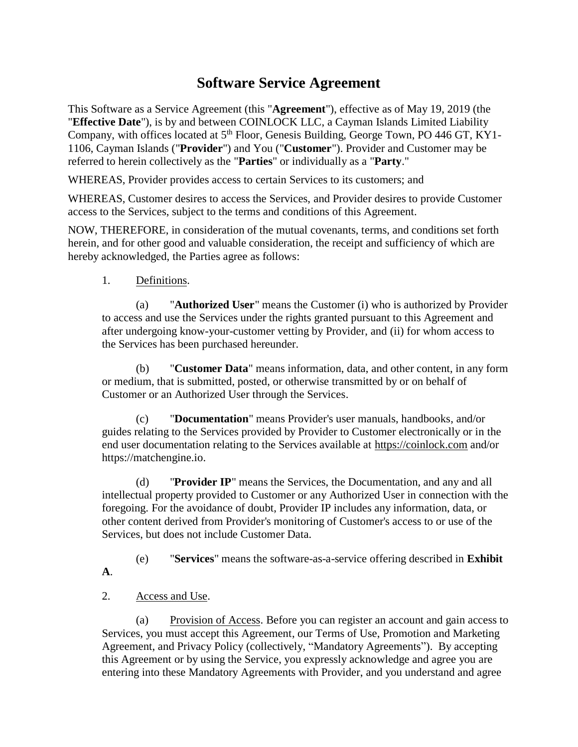# **Software Service Agreement**

This Software as a Service Agreement (this "**Agreement**"), effective as of May 19, 2019 (the "**Effective Date**"), is by and between COINLOCK LLC, a Cayman Islands Limited Liability Company, with offices located at 5<sup>th</sup> Floor, Genesis Building, George Town, PO 446 GT, KY1-1106, Cayman Islands ("**Provider**") and You ("**Customer**"). Provider and Customer may be referred to herein collectively as the "**Parties**" or individually as a "**Party**."

WHEREAS, Provider provides access to certain Services to its customers; and

WHEREAS, Customer desires to access the Services, and Provider desires to provide Customer access to the Services, subject to the terms and conditions of this Agreement.

NOW, THEREFORE, in consideration of the mutual covenants, terms, and conditions set forth herein, and for other good and valuable consideration, the receipt and sufficiency of which are hereby acknowledged, the Parties agree as follows:

1. Definitions.

(a) "**Authorized User**" means the Customer (i) who is authorized by Provider to access and use the Services under the rights granted pursuant to this Agreement and after undergoing know-your-customer vetting by Provider, and (ii) for whom access to the Services has been purchased hereunder.

(b) "**Customer Data**" means information, data, and other content, in any form or medium, that is submitted, posted, or otherwise transmitted by or on behalf of Customer or an Authorized User through the Services.

(c) "**Documentation**" means Provider's user manuals, handbooks, and/or guides relating to the Services provided by Provider to Customer electronically or in the end user documentation relating to the Services available at [https://coinlock.com](https://coinlock.com/) and/or https://matchengine.io.

(d) "**Provider IP**" means the Services, the Documentation, and any and all intellectual property provided to Customer or any Authorized User in connection with the foregoing. For the avoidance of doubt, Provider IP includes any information, data, or other content derived from Provider's monitoring of Customer's access to or use of the Services, but does not include Customer Data.

(e) "**Services**" means the software-as-a-service offering described in **Exhibit A**.

# 2. Access and Use.

(a) Provision of Access. Before you can register an account and gain access to Services, you must accept this Agreement, our Terms of Use, Promotion and Marketing Agreement, and Privacy Policy (collectively, "Mandatory Agreements"). By accepting this Agreement or by using the Service, you expressly acknowledge and agree you are entering into these Mandatory Agreements with Provider, and you understand and agree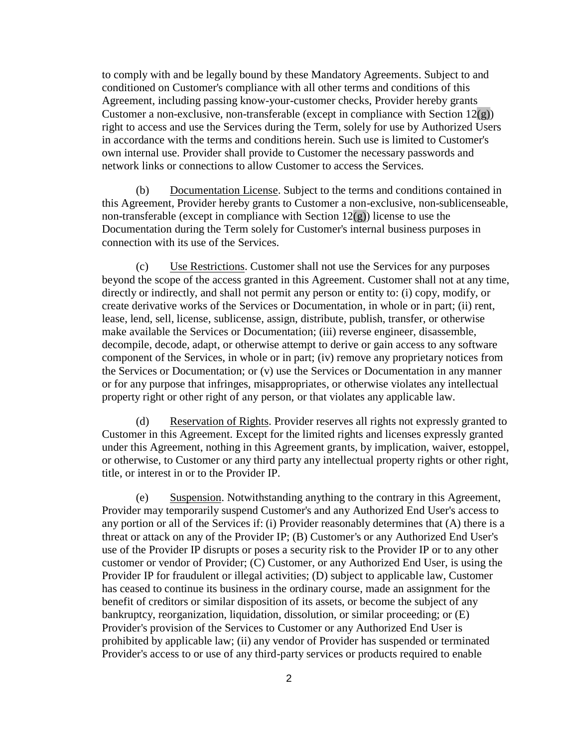to comply with and be legally bound by these Mandatory Agreements. Subject to and conditioned on Customer's compliance with all other terms and conditions of this Agreement, including passing know-your-customer checks, Provider hereby grants Customer a non-exclusive, non-transferable (except in compliance with Section  $12(g)$ ) right to access and use the Services during the Term, solely for use by Authorized Users in accordance with the terms and conditions herein. Such use is limited to Customer's own internal use. Provider shall provide to Customer the necessary passwords and network links or connections to allow Customer to access the Services.

(b) Documentation License. Subject to the terms and conditions contained in this Agreement, Provider hereby grants to Customer a non-exclusive, non-sublicenseable, non-transferable (except in compliance with Section  $12(g)$ ) license to use the Documentation during the Term solely for Customer's internal business purposes in connection with its use of the Services.

<span id="page-1-0"></span>(c) Use Restrictions. Customer shall not use the Services for any purposes beyond the scope of the access granted in this Agreement. Customer shall not at any time, directly or indirectly, and shall not permit any person or entity to: (i) copy, modify, or create derivative works of the Services or Documentation, in whole or in part; (ii) rent, lease, lend, sell, license, sublicense, assign, distribute, publish, transfer, or otherwise make available the Services or Documentation; (iii) reverse engineer, disassemble, decompile, decode, adapt, or otherwise attempt to derive or gain access to any software component of the Services, in whole or in part; (iv) remove any proprietary notices from the Services or Documentation; or (v) use the Services or Documentation in any manner or for any purpose that infringes, misappropriates, or otherwise violates any intellectual property right or other right of any person, or that violates any applicable law.

(d) Reservation of Rights. Provider reserves all rights not expressly granted to Customer in this Agreement. Except for the limited rights and licenses expressly granted under this Agreement, nothing in this Agreement grants, by implication, waiver, estoppel, or otherwise, to Customer or any third party any intellectual property rights or other right, title, or interest in or to the Provider IP.

(e) Suspension. Notwithstanding anything to the contrary in this Agreement, Provider may temporarily suspend Customer's and any Authorized End User's access to any portion or all of the Services if: (i) Provider reasonably determines that (A) there is a threat or attack on any of the Provider IP; (B) Customer's or any Authorized End User's use of the Provider IP disrupts or poses a security risk to the Provider IP or to any other customer or vendor of Provider; (C) Customer, or any Authorized End User, is using the Provider IP for fraudulent or illegal activities; (D) subject to applicable law, Customer has ceased to continue its business in the ordinary course, made an assignment for the benefit of creditors or similar disposition of its assets, or become the subject of any bankruptcy, reorganization, liquidation, dissolution, or similar proceeding; or (E) Provider's provision of the Services to Customer or any Authorized End User is prohibited by applicable law; (ii) any vendor of Provider has suspended or terminated Provider's access to or use of any third-party services or products required to enable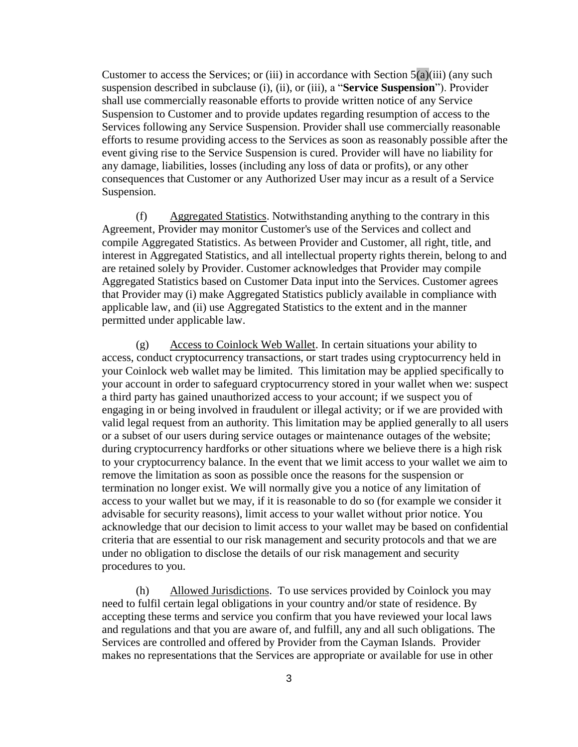Customer to access the Services; or (iii) in accordance with Section  $5(a)(iii)$  $5(a)(iii)$  (any such suspension described in subclause (i), (ii), or (iii), a "**Service Suspension**"). Provider shall use commercially reasonable efforts to provide written notice of any Service Suspension to Customer and to provide updates regarding resumption of access to the Services following any Service Suspension. Provider shall use commercially reasonable efforts to resume providing access to the Services as soon as reasonably possible after the event giving rise to the Service Suspension is cured. Provider will have no liability for any damage, liabilities, losses (including any loss of data or profits), or any other consequences that Customer or any Authorized User may incur as a result of a Service Suspension.

(f) Aggregated Statistics. Notwithstanding anything to the contrary in this Agreement, Provider may monitor Customer's use of the Services and collect and compile Aggregated Statistics. As between Provider and Customer, all right, title, and interest in Aggregated Statistics, and all intellectual property rights therein, belong to and are retained solely by Provider. Customer acknowledges that Provider may compile Aggregated Statistics based on Customer Data input into the Services. Customer agrees that Provider may (i) make Aggregated Statistics publicly available in compliance with applicable law, and (ii) use Aggregated Statistics to the extent and in the manner permitted under applicable law.

(g) Access to Coinlock Web Wallet. In certain situations your ability to access, conduct cryptocurrency transactions, or start trades using cryptocurrency held in your Coinlock web wallet may be limited. This limitation may be applied specifically to your account in order to safeguard cryptocurrency stored in your wallet when we: suspect a third party has gained unauthorized access to your account; if we suspect you of engaging in or being involved in fraudulent or illegal activity; or if we are provided with valid legal request from an authority. This limitation may be applied generally to all users or a subset of our users during service outages or maintenance outages of the website; during cryptocurrency hardforks or other situations where we believe there is a high risk to your cryptocurrency balance. In the event that we limit access to your wallet we aim to remove the limitation as soon as possible once the reasons for the suspension or termination no longer exist. We will normally give you a notice of any limitation of access to your wallet but we may, if it is reasonable to do so (for example we consider it advisable for security reasons), limit access to your wallet without prior notice. You acknowledge that our decision to limit access to your wallet may be based on confidential criteria that are essential to our risk management and security protocols and that we are under no obligation to disclose the details of our risk management and security procedures to you.

(h) Allowed Jurisdictions. To use services provided by Coinlock you may need to fulfil certain legal obligations in your country and/or state of residence. By accepting these terms and service you confirm that you have reviewed your local laws and regulations and that you are aware of, and fulfill, any and all such obligations. The Services are controlled and offered by Provider from the Cayman Islands. Provider makes no representations that the Services are appropriate or available for use in other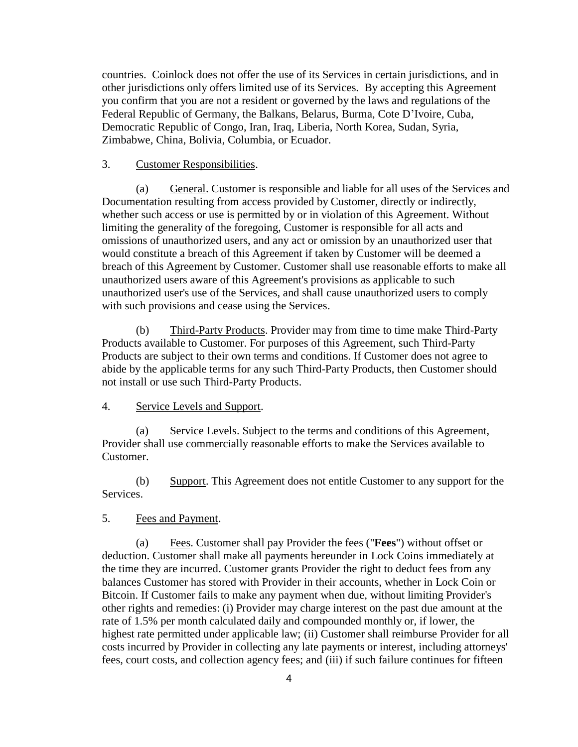countries. Coinlock does not offer the use of its Services in certain jurisdictions, and in other jurisdictions only offers limited use of its Services. By accepting this Agreement you confirm that you are not a resident or governed by the laws and regulations of the Federal Republic of Germany, the Balkans, Belarus, Burma, Cote D'Ivoire, Cuba, Democratic Republic of Congo, Iran, Iraq, Liberia, North Korea, Sudan, Syria, Zimbabwe, China, Bolivia, Columbia, or Ecuador.

# 3. Customer Responsibilities.

(a) General. Customer is responsible and liable for all uses of the Services and Documentation resulting from access provided by Customer, directly or indirectly, whether such access or use is permitted by or in violation of this Agreement. Without limiting the generality of the foregoing, Customer is responsible for all acts and omissions of unauthorized users, and any act or omission by an unauthorized user that would constitute a breach of this Agreement if taken by Customer will be deemed a breach of this Agreement by Customer. Customer shall use reasonable efforts to make all unauthorized users aware of this Agreement's provisions as applicable to such unauthorized user's use of the Services, and shall cause unauthorized users to comply with such provisions and cease using the Services.

(b) Third-Party Products. Provider may from time to time make Third-Party Products available to Customer. For purposes of this Agreement, such Third-Party Products are subject to their own terms and conditions. If Customer does not agree to abide by the applicable terms for any such Third-Party Products, then Customer should not install or use such Third-Party Products.

### 4. Service Levels and Support.

(a) Service Levels. Subject to the terms and conditions of this Agreement, Provider shall use commercially reasonable efforts to make the Services available to Customer.

(b) Support. This Agreement does not entitle Customer to any support for the Services.

### 5. Fees and Payment.

<span id="page-3-0"></span>(a) Fees. Customer shall pay Provider the fees ("**Fees**") without offset or deduction. Customer shall make all payments hereunder in Lock Coins immediately at the time they are incurred. Customer grants Provider the right to deduct fees from any balances Customer has stored with Provider in their accounts, whether in Lock Coin or Bitcoin. If Customer fails to make any payment when due, without limiting Provider's other rights and remedies: (i) Provider may charge interest on the past due amount at the rate of 1.5% per month calculated daily and compounded monthly or, if lower, the highest rate permitted under applicable law; (ii) Customer shall reimburse Provider for all costs incurred by Provider in collecting any late payments or interest, including attorneys' fees, court costs, and collection agency fees; and (iii) if such failure continues for fifteen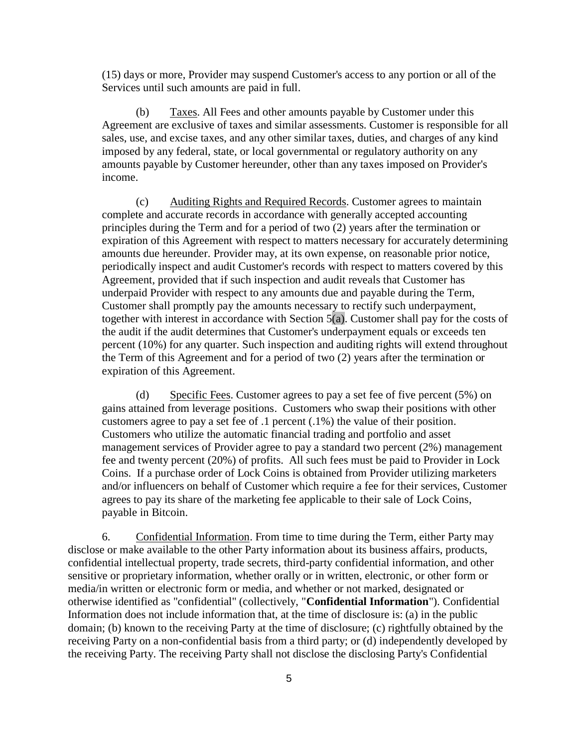(15) days or more, Provider may suspend Customer's access to any portion or all of the Services until such amounts are paid in full.

(b) Taxes. All Fees and other amounts payable by Customer under this Agreement are exclusive of taxes and similar assessments. Customer is responsible for all sales, use, and excise taxes, and any other similar taxes, duties, and charges of any kind imposed by any federal, state, or local governmental or regulatory authority on any amounts payable by Customer hereunder, other than any taxes imposed on Provider's income.

(c) Auditing Rights and Required Records. Customer agrees to maintain complete and accurate records in accordance with generally accepted accounting principles during the Term and for a period of two (2) years after the termination or expiration of this Agreement with respect to matters necessary for accurately determining amounts due hereunder. Provider may, at its own expense, on reasonable prior notice, periodically inspect and audit Customer's records with respect to matters covered by this Agreement, provided that if such inspection and audit reveals that Customer has underpaid Provider with respect to any amounts due and payable during the Term, Customer shall promptly pay the amounts necessary to rectify such underpayment, together with interest in accordance with Section  $5(a)$ . Customer shall pay for the costs of the audit if the audit determines that Customer's underpayment equals or exceeds ten percent (10%) for any quarter. Such inspection and auditing rights will extend throughout the Term of this Agreement and for a period of two (2) years after the termination or expiration of this Agreement.

(d) Specific Fees. Customer agrees to pay a set fee of five percent (5%) on gains attained from leverage positions. Customers who swap their positions with other customers agree to pay a set fee of .1 percent (.1%) the value of their position. Customers who utilize the automatic financial trading and portfolio and asset management services of Provider agree to pay a standard two percent (2%) management fee and twenty percent (20%) of profits. All such fees must be paid to Provider in Lock Coins. If a purchase order of Lock Coins is obtained from Provider utilizing marketers and/or influencers on behalf of Customer which require a fee for their services, Customer agrees to pay its share of the marketing fee applicable to their sale of Lock Coins, payable in Bitcoin.

<span id="page-4-0"></span>6. Confidential Information. From time to time during the Term, either Party may disclose or make available to the other Party information about its business affairs, products, confidential intellectual property, trade secrets, third-party confidential information, and other sensitive or proprietary information, whether orally or in written, electronic, or other form or media/in written or electronic form or media, and whether or not marked, designated or otherwise identified as "confidential" (collectively, "**Confidential Information**"). Confidential Information does not include information that, at the time of disclosure is: (a) in the public domain; (b) known to the receiving Party at the time of disclosure; (c) rightfully obtained by the receiving Party on a non-confidential basis from a third party; or (d) independently developed by the receiving Party. The receiving Party shall not disclose the disclosing Party's Confidential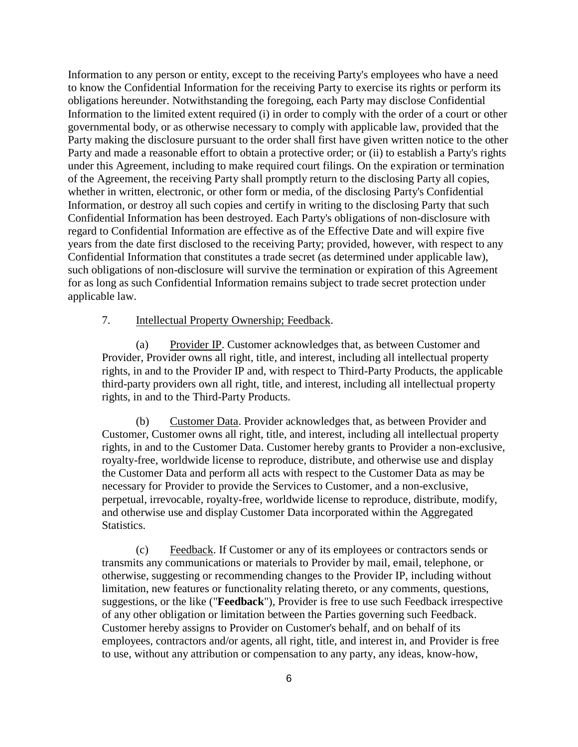Information to any person or entity, except to the receiving Party's employees who have a need to know the Confidential Information for the receiving Party to exercise its rights or perform its obligations hereunder. Notwithstanding the foregoing, each Party may disclose Confidential Information to the limited extent required (i) in order to comply with the order of a court or other governmental body, or as otherwise necessary to comply with applicable law, provided that the Party making the disclosure pursuant to the order shall first have given written notice to the other Party and made a reasonable effort to obtain a protective order; or (ii) to establish a Party's rights under this Agreement, including to make required court filings. On the expiration or termination of the Agreement, the receiving Party shall promptly return to the disclosing Party all copies, whether in written, electronic, or other form or media, of the disclosing Party's Confidential Information, or destroy all such copies and certify in writing to the disclosing Party that such Confidential Information has been destroyed. Each Party's obligations of non-disclosure with regard to Confidential Information are effective as of the Effective Date and will expire five years from the date first disclosed to the receiving Party; provided, however, with respect to any Confidential Information that constitutes a trade secret (as determined under applicable law), such obligations of non-disclosure will survive the termination or expiration of this Agreement for as long as such Confidential Information remains subject to trade secret protection under applicable law.

### 7. Intellectual Property Ownership; Feedback.

(a) Provider IP. Customer acknowledges that, as between Customer and Provider, Provider owns all right, title, and interest, including all intellectual property rights, in and to the Provider IP and, with respect to Third-Party Products, the applicable third-party providers own all right, title, and interest, including all intellectual property rights, in and to the Third-Party Products.

(b) Customer Data. Provider acknowledges that, as between Provider and Customer, Customer owns all right, title, and interest, including all intellectual property rights, in and to the Customer Data. Customer hereby grants to Provider a non-exclusive, royalty-free, worldwide license to reproduce, distribute, and otherwise use and display the Customer Data and perform all acts with respect to the Customer Data as may be necessary for Provider to provide the Services to Customer, and a non-exclusive, perpetual, irrevocable, royalty-free, worldwide license to reproduce, distribute, modify, and otherwise use and display Customer Data incorporated within the Aggregated Statistics.

(c) Feedback. If Customer or any of its employees or contractors sends or transmits any communications or materials to Provider by mail, email, telephone, or otherwise, suggesting or recommending changes to the Provider IP, including without limitation, new features or functionality relating thereto, or any comments, questions, suggestions, or the like ("**Feedback**"), Provider is free to use such Feedback irrespective of any other obligation or limitation between the Parties governing such Feedback. Customer hereby assigns to Provider on Customer's behalf, and on behalf of its employees, contractors and/or agents, all right, title, and interest in, and Provider is free to use, without any attribution or compensation to any party, any ideas, know-how,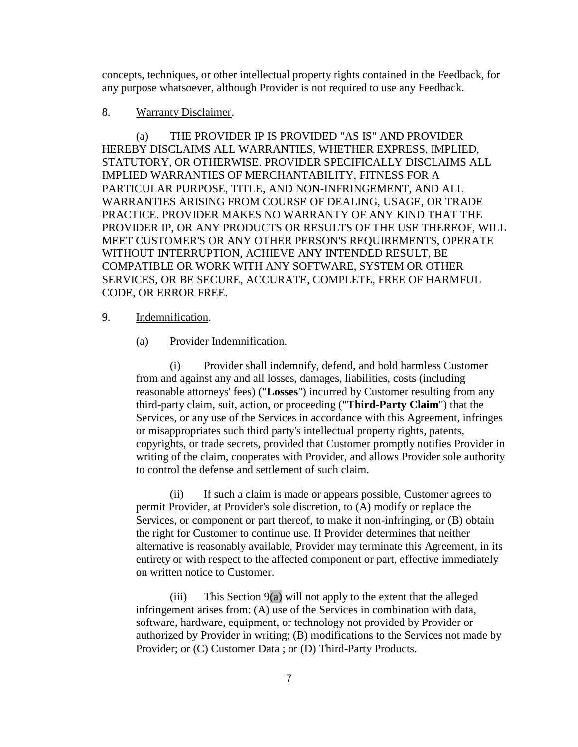concepts, techniques, or other intellectual property rights contained in the Feedback, for any purpose whatsoever, although Provider is not required to use any Feedback.

#### 8. Warranty Disclaimer.

(a) THE PROVIDER IP IS PROVIDED "AS IS" AND PROVIDER HEREBY DISCLAIMS ALL WARRANTIES, WHETHER EXPRESS, IMPLIED, STATUTORY, OR OTHERWISE. PROVIDER SPECIFICALLY DISCLAIMS ALL IMPLIED WARRANTIES OF MERCHANTABILITY, FITNESS FOR A PARTICULAR PURPOSE, TITLE, AND NON-INFRINGEMENT, AND ALL WARRANTIES ARISING FROM COURSE OF DEALING, USAGE, OR TRADE PRACTICE. PROVIDER MAKES NO WARRANTY OF ANY KIND THAT THE PROVIDER IP, OR ANY PRODUCTS OR RESULTS OF THE USE THEREOF, WILL MEET CUSTOMER'S OR ANY OTHER PERSON'S REQUIREMENTS, OPERATE WITHOUT INTERRUPTION, ACHIEVE ANY INTENDED RESULT, BE COMPATIBLE OR WORK WITH ANY SOFTWARE, SYSTEM OR OTHER SERVICES, OR BE SECURE, ACCURATE, COMPLETE, FREE OF HARMFUL CODE, OR ERROR FREE.

# <span id="page-6-1"></span><span id="page-6-0"></span>9. Indemnification.

### (a) Provider Indemnification.

(i) Provider shall indemnify, defend, and hold harmless Customer from and against any and all losses, damages, liabilities, costs (including reasonable attorneys' fees) ("**Losses**") incurred by Customer resulting from any third-party claim, suit, action, or proceeding ("**Third-Party Claim**") that the Services, or any use of the Services in accordance with this Agreement, infringes or misappropriates such third party's intellectual property rights, patents, copyrights, or trade secrets, provided that Customer promptly notifies Provider in writing of the claim, cooperates with Provider, and allows Provider sole authority to control the defense and settlement of such claim.

(ii) If such a claim is made or appears possible, Customer agrees to permit Provider, at Provider's sole discretion, to (A) modify or replace the Services, or component or part thereof, to make it non-infringing, or (B) obtain the right for Customer to continue use. If Provider determines that neither alternative is reasonably available, Provider may terminate this Agreement, in its entirety or with respect to the affected component or part, effective immediately on written notice to Customer.

(iii) This Section  $9(a)$  will not apply to the extent that the alleged infringement arises from: (A) use of the Services in combination with data, software, hardware, equipment, or technology not provided by Provider or authorized by Provider in writing; (B) modifications to the Services not made by Provider; or (C) Customer Data ; or (D) Third-Party Products.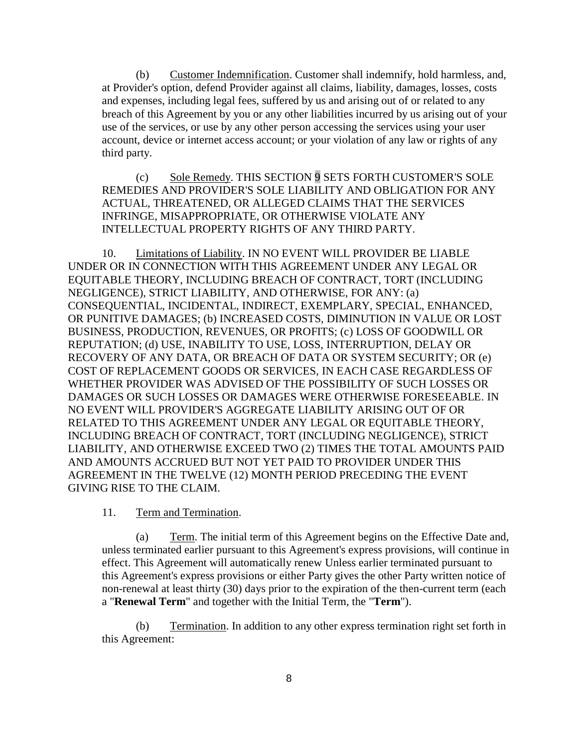(b) Customer Indemnification. Customer shall indemnify, hold harmless, and, at Provider's option, defend Provider against all claims, liability, damages, losses, costs and expenses, including legal fees, suffered by us and arising out of or related to any breach of this Agreement by you or any other liabilities incurred by us arising out of your use of the services, or use by any other person accessing the services using your user account, device or internet access account; or your violation of any law or rights of any third party.

(c) Sole Remedy. THIS SECTION [9](#page-6-1) SETS FORTH CUSTOMER'S SOLE REMEDIES AND PROVIDER'S SOLE LIABILITY AND OBLIGATION FOR ANY ACTUAL, THREATENED, OR ALLEGED CLAIMS THAT THE SERVICES INFRINGE, MISAPPROPRIATE, OR OTHERWISE VIOLATE ANY INTELLECTUAL PROPERTY RIGHTS OF ANY THIRD PARTY.

10. Limitations of Liability. IN NO EVENT WILL PROVIDER BE LIABLE UNDER OR IN CONNECTION WITH THIS AGREEMENT UNDER ANY LEGAL OR EQUITABLE THEORY, INCLUDING BREACH OF CONTRACT, TORT (INCLUDING NEGLIGENCE), STRICT LIABILITY, AND OTHERWISE, FOR ANY: (a) CONSEQUENTIAL, INCIDENTAL, INDIRECT, EXEMPLARY, SPECIAL, ENHANCED, OR PUNITIVE DAMAGES; (b) INCREASED COSTS, DIMINUTION IN VALUE OR LOST BUSINESS, PRODUCTION, REVENUES, OR PROFITS; (c) LOSS OF GOODWILL OR REPUTATION; (d) USE, INABILITY TO USE, LOSS, INTERRUPTION, DELAY OR RECOVERY OF ANY DATA, OR BREACH OF DATA OR SYSTEM SECURITY; OR (e) COST OF REPLACEMENT GOODS OR SERVICES, IN EACH CASE REGARDLESS OF WHETHER PROVIDER WAS ADVISED OF THE POSSIBILITY OF SUCH LOSSES OR DAMAGES OR SUCH LOSSES OR DAMAGES WERE OTHERWISE FORESEEABLE. IN NO EVENT WILL PROVIDER'S AGGREGATE LIABILITY ARISING OUT OF OR RELATED TO THIS AGREEMENT UNDER ANY LEGAL OR EQUITABLE THEORY, INCLUDING BREACH OF CONTRACT, TORT (INCLUDING NEGLIGENCE), STRICT LIABILITY, AND OTHERWISE EXCEED TWO (2) TIMES THE TOTAL AMOUNTS PAID AND AMOUNTS ACCRUED BUT NOT YET PAID TO PROVIDER UNDER THIS AGREEMENT IN THE TWELVE (12) MONTH PERIOD PRECEDING THE EVENT GIVING RISE TO THE CLAIM.

### 11. Term and Termination.

(a) Term. The initial term of this Agreement begins on the Effective Date and, unless terminated earlier pursuant to this Agreement's express provisions, will continue in effect. This Agreement will automatically renew Unless earlier terminated pursuant to this Agreement's express provisions or either Party gives the other Party written notice of non-renewal at least thirty (30) days prior to the expiration of the then-current term (each a "**Renewal Term**" and together with the Initial Term, the "**Term**").

(b) Termination. In addition to any other express termination right set forth in this Agreement: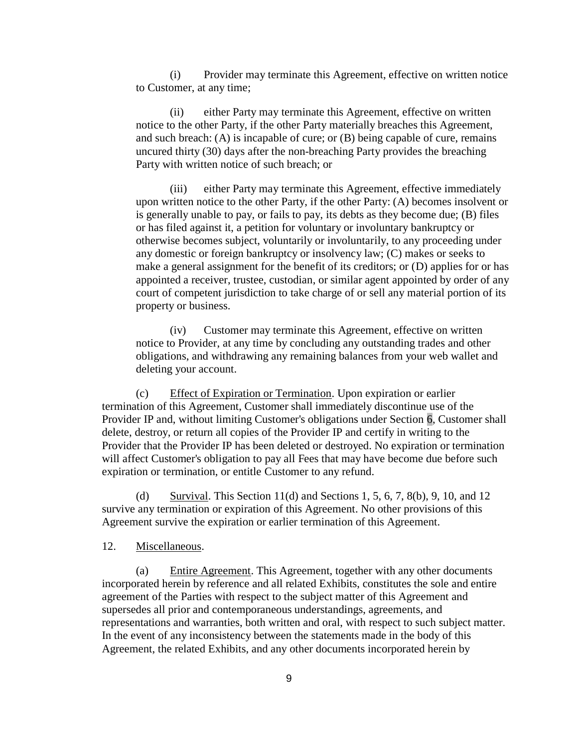(i) Provider may terminate this Agreement, effective on written notice to Customer, at any time;

(ii) either Party may terminate this Agreement, effective on written notice to the other Party, if the other Party materially breaches this Agreement, and such breach: (A) is incapable of cure; or (B) being capable of cure, remains uncured thirty (30) days after the non-breaching Party provides the breaching Party with written notice of such breach; or

(iii) either Party may terminate this Agreement, effective immediately upon written notice to the other Party, if the other Party: (A) becomes insolvent or is generally unable to pay, or fails to pay, its debts as they become due; (B) files or has filed against it, a petition for voluntary or involuntary bankruptcy or otherwise becomes subject, voluntarily or involuntarily, to any proceeding under any domestic or foreign bankruptcy or insolvency law; (C) makes or seeks to make a general assignment for the benefit of its creditors; or (D) applies for or has appointed a receiver, trustee, custodian, or similar agent appointed by order of any court of competent jurisdiction to take charge of or sell any material portion of its property or business.

(iv) Customer may terminate this Agreement, effective on written notice to Provider, at any time by concluding any outstanding trades and other obligations, and withdrawing any remaining balances from your web wallet and deleting your account.

(c) Effect of Expiration or Termination. Upon expiration or earlier termination of this Agreement, Customer shall immediately discontinue use of the Provider IP and, without limiting Customer's obligations under Section [6,](#page-4-0) Customer shall delete, destroy, or return all copies of the Provider IP and certify in writing to the Provider that the Provider IP has been deleted or destroyed. No expiration or termination will affect Customer's obligation to pay all Fees that may have become due before such expiration or termination, or entitle Customer to any refund.

(d) Survival. This Section 11(d) and Sections 1, 5, 6, 7, 8(b), 9, 10, and 12 survive any termination or expiration of this Agreement. No other provisions of this Agreement survive the expiration or earlier termination of this Agreement.

# 12. Miscellaneous.

(a) Entire Agreement. This Agreement, together with any other documents incorporated herein by reference and all related Exhibits, constitutes the sole and entire agreement of the Parties with respect to the subject matter of this Agreement and supersedes all prior and contemporaneous understandings, agreements, and representations and warranties, both written and oral, with respect to such subject matter. In the event of any inconsistency between the statements made in the body of this Agreement, the related Exhibits, and any other documents incorporated herein by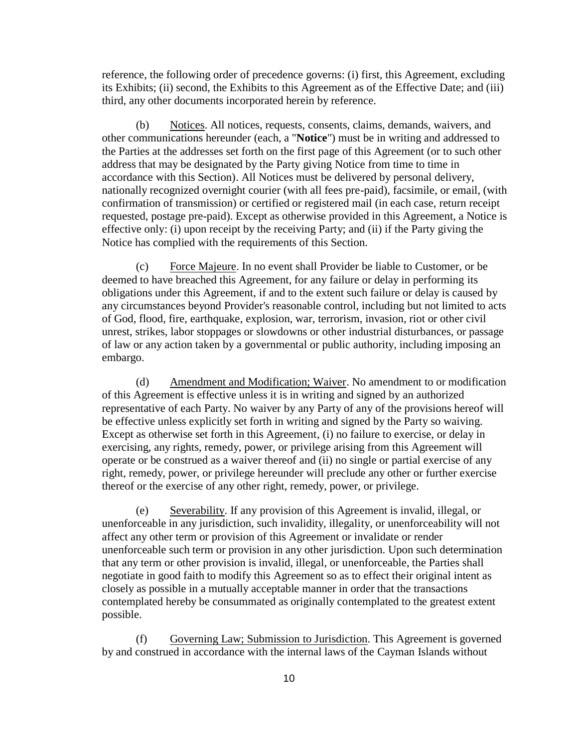reference, the following order of precedence governs: (i) first, this Agreement, excluding its Exhibits; (ii) second, the Exhibits to this Agreement as of the Effective Date; and (iii) third, any other documents incorporated herein by reference.

(b) Notices. All notices, requests, consents, claims, demands, waivers, and other communications hereunder (each, a "**Notice**") must be in writing and addressed to the Parties at the addresses set forth on the first page of this Agreement (or to such other address that may be designated by the Party giving Notice from time to time in accordance with this Section). All Notices must be delivered by personal delivery, nationally recognized overnight courier (with all fees pre-paid), facsimile, or email, (with confirmation of transmission) or certified or registered mail (in each case, return receipt requested, postage pre-paid). Except as otherwise provided in this Agreement, a Notice is effective only: (i) upon receipt by the receiving Party; and (ii) if the Party giving the Notice has complied with the requirements of this Section.

(c) Force Majeure. In no event shall Provider be liable to Customer, or be deemed to have breached this Agreement, for any failure or delay in performing its obligations under this Agreement, if and to the extent such failure or delay is caused by any circumstances beyond Provider's reasonable control, including but not limited to acts of God, flood, fire, earthquake, explosion, war, terrorism, invasion, riot or other civil unrest, strikes, labor stoppages or slowdowns or other industrial disturbances, or passage of law or any action taken by a governmental or public authority, including imposing an embargo.

(d) Amendment and Modification; Waiver. No amendment to or modification of this Agreement is effective unless it is in writing and signed by an authorized representative of each Party. No waiver by any Party of any of the provisions hereof will be effective unless explicitly set forth in writing and signed by the Party so waiving. Except as otherwise set forth in this Agreement, (i) no failure to exercise, or delay in exercising, any rights, remedy, power, or privilege arising from this Agreement will operate or be construed as a waiver thereof and (ii) no single or partial exercise of any right, remedy, power, or privilege hereunder will preclude any other or further exercise thereof or the exercise of any other right, remedy, power, or privilege.

(e) Severability. If any provision of this Agreement is invalid, illegal, or unenforceable in any jurisdiction, such invalidity, illegality, or unenforceability will not affect any other term or provision of this Agreement or invalidate or render unenforceable such term or provision in any other jurisdiction. Upon such determination that any term or other provision is invalid, illegal, or unenforceable, the Parties shall negotiate in good faith to modify this Agreement so as to effect their original intent as closely as possible in a mutually acceptable manner in order that the transactions contemplated hereby be consummated as originally contemplated to the greatest extent possible.

(f) Governing Law; Submission to Jurisdiction. This Agreement is governed by and construed in accordance with the internal laws of the Cayman Islands without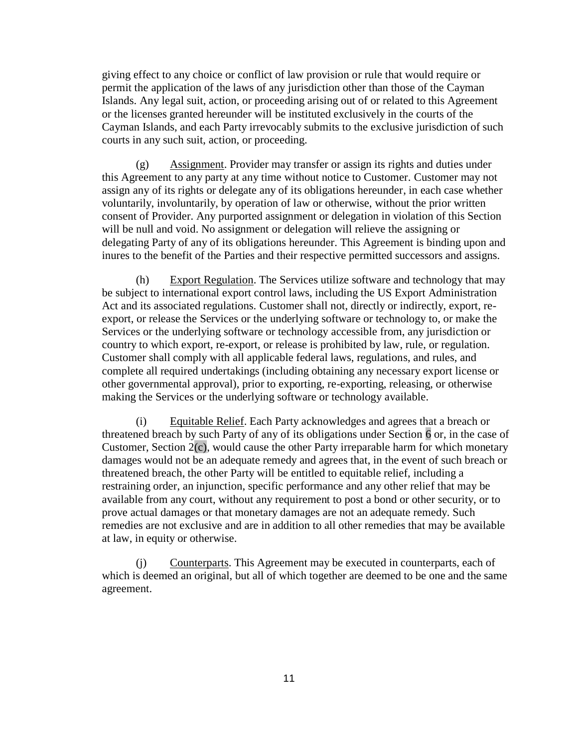giving effect to any choice or conflict of law provision or rule that would require or permit the application of the laws of any jurisdiction other than those of the Cayman Islands. Any legal suit, action, or proceeding arising out of or related to this Agreement or the licenses granted hereunder will be instituted exclusively in the courts of the Cayman Islands, and each Party irrevocably submits to the exclusive jurisdiction of such courts in any such suit, action, or proceeding.

<span id="page-10-0"></span>(g) Assignment. Provider may transfer or assign its rights and duties under this Agreement to any party at any time without notice to Customer. Customer may not assign any of its rights or delegate any of its obligations hereunder, in each case whether voluntarily, involuntarily, by operation of law or otherwise, without the prior written consent of Provider. Any purported assignment or delegation in violation of this Section will be null and void. No assignment or delegation will relieve the assigning or delegating Party of any of its obligations hereunder. This Agreement is binding upon and inures to the benefit of the Parties and their respective permitted successors and assigns.

(h) Export Regulation. The Services utilize software and technology that may be subject to international export control laws, including the US Export Administration Act and its associated regulations. Customer shall not, directly or indirectly, export, reexport, or release the Services or the underlying software or technology to, or make the Services or the underlying software or technology accessible from, any jurisdiction or country to which export, re-export, or release is prohibited by law, rule, or regulation. Customer shall comply with all applicable federal laws, regulations, and rules, and complete all required undertakings (including obtaining any necessary export license or other governmental approval), prior to exporting, re-exporting, releasing, or otherwise making the Services or the underlying software or technology available.

(i) Equitable Relief. Each Party acknowledges and agrees that a breach or threatened breach by such Party of any of its obligations under Section [6](#page-4-0) or, in the case of Customer, Section  $2(c)$ , would cause the other Party irreparable harm for which monetary damages would not be an adequate remedy and agrees that, in the event of such breach or threatened breach, the other Party will be entitled to equitable relief, including a restraining order, an injunction, specific performance and any other relief that may be available from any court, without any requirement to post a bond or other security, or to prove actual damages or that monetary damages are not an adequate remedy. Such remedies are not exclusive and are in addition to all other remedies that may be available at law, in equity or otherwise.

(j) Counterparts. This Agreement may be executed in counterparts, each of which is deemed an original, but all of which together are deemed to be one and the same agreement.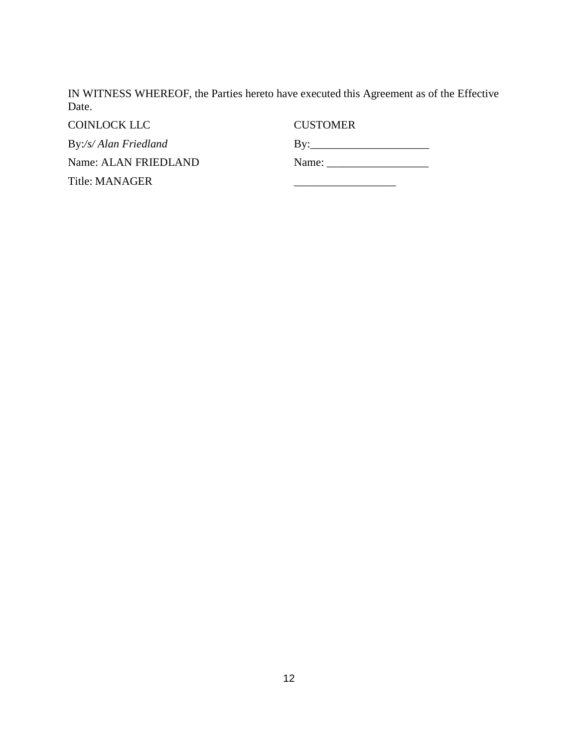IN WITNESS WHEREOF, the Parties hereto have executed this Agreement as of the Effective Date.

COINLOCK LLC CUSTOMER

By:*/s/ Alan Friedland* Name: ALAN FRIEDLAND

Title: MANAGER

By:\_\_\_\_\_\_\_\_\_\_\_\_\_\_\_\_\_\_\_\_\_ Name: \_\_\_\_\_\_\_\_\_\_\_\_\_\_\_\_\_\_

\_\_\_\_\_\_\_\_\_\_\_\_\_\_\_\_\_\_